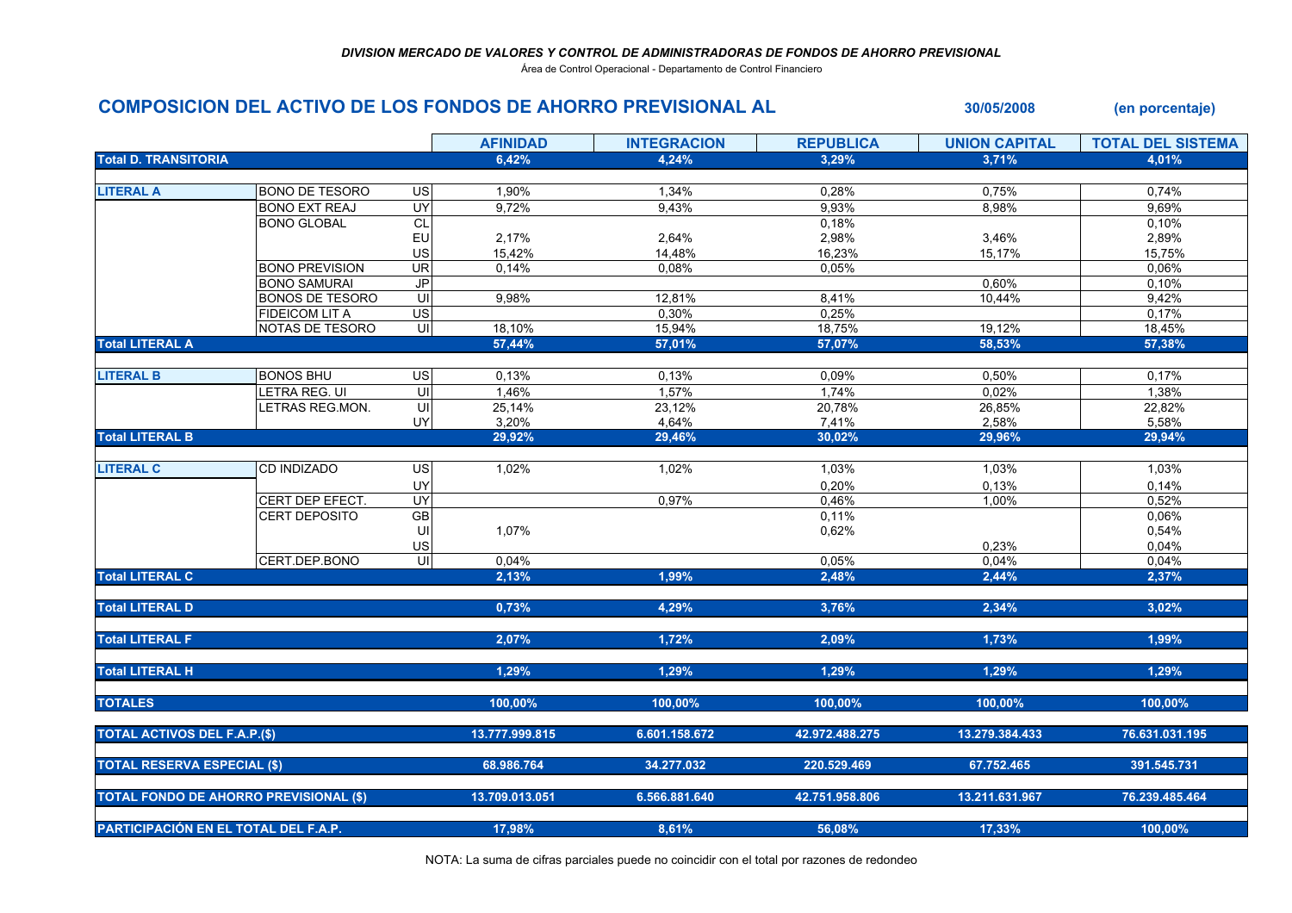Área de Control Operacional - Departamento de Control Financiero

## COMPOSICION DEL ACTIVO DE LOS FONDOS DE AHORRO PREVISIONAL AL 30/05/2008 (en porcentaje)

|                                               |                        |                         | <b>AFINIDAD</b> | <b>INTEGRACION</b> | <b>REPUBLICA</b> | <b>UNION CAPITAL</b> | <b>TOTAL DEL SISTEMA</b> |
|-----------------------------------------------|------------------------|-------------------------|-----------------|--------------------|------------------|----------------------|--------------------------|
| <b>Total D. TRANSITORIA</b>                   |                        |                         | 6,42%           | 4,24%              | 3,29%            | 3,71%                | 4,01%                    |
|                                               |                        |                         |                 |                    |                  |                      |                          |
| <b>LITERAL A</b>                              | <b>BONO DE TESORO</b>  | <b>US</b>               | 1,90%           | 1,34%              | 0,28%            | 0,75%                | 0,74%                    |
|                                               | <b>BONO EXT REAJ</b>   | <b>UY</b>               | 9,72%           | 9,43%              | 9,93%            | 8,98%                | 9,69%                    |
|                                               | <b>BONO GLOBAL</b>     | CL                      |                 |                    | 0,18%            |                      | 0,10%                    |
|                                               |                        | EU                      | 2,17%           | 2,64%              | 2,98%            | 3,46%                | 2,89%                    |
|                                               |                        | US                      | 15,42%          | 14,48%             | 16,23%           | 15,17%               | 15,75%                   |
|                                               | <b>BONO PREVISION</b>  | <b>UR</b>               | 0,14%           | 0.08%              | 0,05%            |                      | 0,06%                    |
|                                               | <b>BONO SAMURAI</b>    | JP                      |                 |                    |                  | 0,60%                | 0,10%                    |
|                                               | <b>BONOS DE TESORO</b> | $\overline{\mathsf{u}}$ | 9,98%           | 12,81%             | 8,41%            | 10,44%               | 9,42%                    |
|                                               | <b>FIDEICOM LIT A</b>  | <b>US</b>               |                 | 0,30%              | 0,25%            |                      | 0,17%                    |
|                                               | NOTAS DE TESORO        | $\subseteq$             | 18,10%          | 15,94%             | 18,75%           | 19,12%               | 18,45%                   |
| <b>Total LITERAL A</b>                        |                        |                         | 57,44%          | 57,01%             | 57,07%           | 58.53%               | 57,38%                   |
| <b>LITERAL B</b>                              | <b>BONOS BHU</b>       | <b>US</b>               | 0,13%           | 0,13%              | 0,09%            | 0,50%                | 0,17%                    |
|                                               | LETRA REG. UI          | ς                       | 1,46%           | 1,57%              | 1,74%            | 0,02%                | 1,38%                    |
|                                               | LETRAS REG.MON.        | UI                      | 25,14%          | 23,12%             | 20,78%           | 26,85%               | 22,82%                   |
|                                               |                        | UY                      | 3,20%           | 4,64%              | 7,41%            | 2,58%                | 5,58%                    |
| <b>Total LITERAL B</b>                        |                        |                         | 29,92%          | 29,46%             | 30,02%           | 29,96%               | 29,94%                   |
|                                               |                        |                         |                 |                    |                  |                      |                          |
| <b>LITERAL C</b>                              | CD INDIZADO            | <b>US</b>               | 1,02%           | 1,02%              | 1,03%            | 1,03%                | 1,03%                    |
|                                               |                        | UY                      |                 |                    | 0,20%            | 0,13%                | 0,14%                    |
|                                               | CERT DEP EFECT.        | UY                      |                 | 0,97%              | 0,46%            | 1,00%                | 0,52%                    |
|                                               | <b>CERT DEPOSITO</b>   | GB                      |                 |                    | 0,11%            |                      | 0,06%                    |
|                                               |                        | UI                      | 1,07%           |                    | 0,62%            |                      | 0,54%                    |
|                                               |                        | US                      |                 |                    |                  | 0,23%                | 0,04%                    |
|                                               | CERT.DEP.BONO          | $\subseteq$             | 0,04%           |                    | 0,05%            | 0,04%                | 0,04%                    |
| <b>Total LITERAL C</b>                        |                        |                         | 2,13%           | 1,99%              | 2,48%            | 2,44%                | 2,37%                    |
|                                               |                        |                         |                 |                    |                  |                      |                          |
| <b>Total LITERAL D</b>                        |                        |                         | 0,73%           | 4,29%              | 3,76%            | 2,34%                | 3,02%                    |
| <b>Total LITERAL F</b>                        |                        |                         | 2,07%           | 1,72%              | 2,09%            | 1,73%                | 1,99%                    |
|                                               |                        |                         |                 |                    |                  |                      |                          |
| <b>Total LITERAL H</b>                        |                        |                         | 1,29%           | 1,29%              | 1,29%            | 1,29%                | 1,29%                    |
| <b>TOTALES</b>                                |                        |                         | 100,00%         | 100,00%            | 100,00%          | 100,00%              | 100,00%                  |
|                                               |                        |                         |                 |                    |                  |                      |                          |
| <b>TOTAL ACTIVOS DEL F.A.P.(\$)</b>           |                        |                         | 13.777.999.815  | 6.601.158.672      | 42.972.488.275   | 13.279.384.433       | 76.631.031.195           |
| <b>TOTAL RESERVA ESPECIAL (\$)</b>            |                        |                         | 68.986.764      | 34.277.032         | 220.529.469      | 67.752.465           | 391.545.731              |
|                                               |                        |                         |                 |                    |                  |                      |                          |
| <b>TOTAL FONDO DE AHORRO PREVISIONAL (\$)</b> |                        |                         | 13.709.013.051  | 6.566.881.640      | 42.751.958.806   | 13.211.631.967       | 76.239.485.464           |
| PARTICIPACIÓN EN EL TOTAL DEL F.A.P.          |                        |                         | 17,98%          | 8,61%              | 56,08%           | 17,33%               | 100,00%                  |
|                                               |                        |                         |                 |                    |                  |                      |                          |

NOTA: La suma de cifras parciales puede no coincidir con el total por razones de redondeo